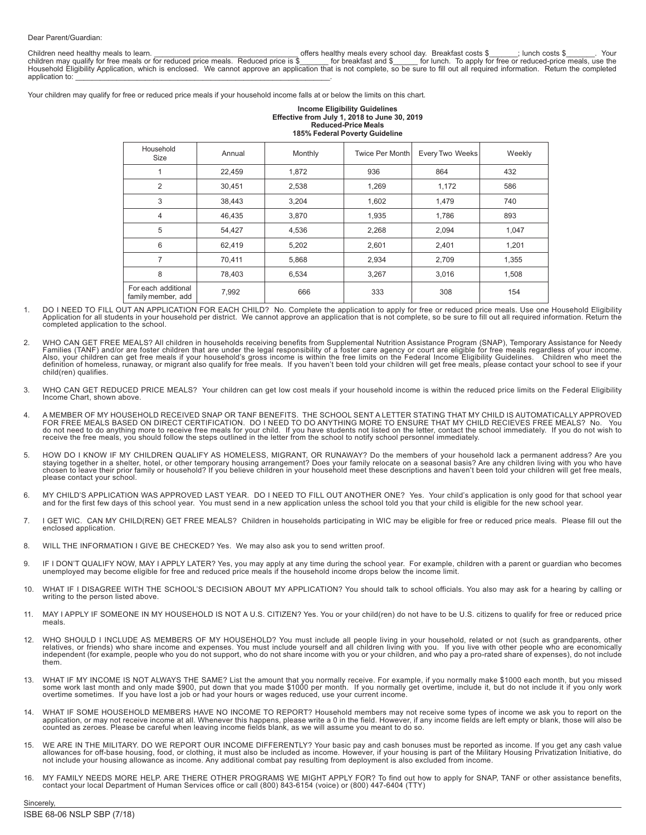Children need healthy meals to learn. \_\_\_\_\_\_\_\_\_\_\_\_\_\_\_\_\_\_\_\_\_\_\_\_\_\_\_\_\_\_\_\_\_\_\_ offers healthy meals every school day. Breakfast costs \$\_\_\_\_\_\_\_; lunch costs \$\_\_\_\_\_\_\_. Your children may qualify for free meals or for reduced price meals. Reduced price is \$\_\_\_\_\_\_ for breakfast and \$\_\_\_\_\_ for lunch. To apply for free or reduced-price meals, use the<br>Household Eligibility Application, which is enc application to:

Your children may qualify for free or reduced price meals if your household income falls at or below the limits on this chart.

#### **Income Eligibility Guidelines Effective from July 1, 2018 to June 30, 2019 Reduced-Price Meals 185% Federal Poverty Guideline**

| Household<br>Size                         | Annual | Monthly | Twice Per Month | Every Two Weeks | Weekly |  |  |
|-------------------------------------------|--------|---------|-----------------|-----------------|--------|--|--|
|                                           | 22,459 | 1,872   | 936             | 864             | 432    |  |  |
| $\overline{2}$                            | 30,451 | 2,538   | 1,269           | 1,172           | 586    |  |  |
| 3                                         | 38,443 | 3,204   | 1,602           | 1,479           | 740    |  |  |
| 4                                         | 46,435 | 3,870   | 1,935           | 1,786           | 893    |  |  |
| 5                                         | 54,427 | 4,536   | 2,268           | 2,094           | 1,047  |  |  |
| 6                                         | 62,419 | 5,202   | 2,601           | 2,401           | 1,201  |  |  |
| 7                                         | 70,411 | 5,868   | 2,934           | 2,709           | 1,355  |  |  |
| 8                                         | 78,403 | 6,534   | 3,267           | 3,016           | 1,508  |  |  |
| For each additional<br>family member, add | 7,992  | 666     | 333             | 308             | 154    |  |  |

- DO I NEED TO FILL OUT AN APPLICATION FOR EACH CHILD? No. Complete the application to apply for free or reduced price meals. Use one Household Eligibility Application for all students in your household per district. We cannot approve an application that is not complete, so be sure to fill out all required information. Return the completed application to the school.
- 2. WHO CAN GET FREE MEALS? All children in households receiving benefits from Supplemental Nutrition Assistance Program (SNAP), Temporary Assistance for Needy Families (TANF) and/or are foster children that are under the legal responsibility of a foster care agency or court are eligible for free meals regardless of your income.<br>Also, your children can get free meals if your hous definition of homeless, runaway, or migrant also qualify for free meals. If you haven't been told your children will get free meals, please contact your school to see if your child(ren) qualifies.
- 3. WHO CAN GET REDUCED PRICE MEALS? Your children can get low cost meals if your household income is within the reduced price limits on the Federal Eligibility Income Chart, shown above.
- 4. A MEMBER OF MY HOUSEHOLD RECEIVED SNAP OR TANF BENEFITS. THE SCHOOL SENT A LETTER STATING THAT MY CHILD IS AUTOMATICALLY APPROVED<br>FOR FREE MEALS BASED ON DIRECT CERTIFICATION. DO I NEED TO ANYTHING MORE TO ENSURE THAT M receive the free meals, you should follow the steps outlined in the letter from the school to notify school personnel immediately.
- 5. HOW DO I KNOW IF MY CHILDREN QUALIFY AS HOMELESS, MIGRANT, OR RUNAWAY? Do the members of your household lack a permanent address? Are you staying together in a shelter, hotel, or other temporary housing arrangement? Does your family relocate on a seasonal basis? Are any children living with you who have<br>chosen to leave their prior family or household? If you please contact your school.
- 6. MY CHILD'S APPLICATION WAS APPROVED LAST YEAR. DO I NEED TO FILL OUT ANOTHER ONE? Yes. Your child's application is only good for that school year and for the first few days of this school year. You must send in a new application unless the school told you that your child is eligible for the new school year.
- 7. I GET WIC. CAN MY CHILD(REN) GET FREE MEALS? Children in households participating in WIC may be eligible for free or reduced price meals. Please fill out the enclosed application.
- 8. WILL THE INFORMATION I GIVE BE CHECKED? Yes. We may also ask you to send written proof.
- 9. IF I DON'T QUALIFY NOW, MAY I APPLY LATER? Yes, you may apply at any time during the school year. For example, children with a parent or guardian who becomes<br>unemployed may become eligible for free and reduced price mea
- 10. WHAT IF I DISAGREE WITH THE SCHOOL'S DECISION ABOUT MY APPLICATION? You should talk to school officials. You also may ask for a hearing by calling or writing to the person listed above.
- 11. MAY I APPLY IF SOMEONE IN MY HOUSEHOLD IS NOT A U.S. CITIZEN? Yes. You or your child(ren) do not have to be U.S. citizens to qualify for free or reduced price meals.
- 12. WHO SHOULD I INCLUDE AS MEMBERS OF MY HOUSEHOLD? You must include all people living in your household, related or not (such as grandparents, other<br>relatives, or friends) who share income and expenses. You must include them.
- 13. WHAT IF MY INCOME IS NOT ALWAYS THE SAME? List the amount that you normally receive. For example, if you normally make \$1000 each month, but you missed some work last month and only made \$900, put down that you made \$1000 per month. If you normally get overtime, include it, but do not include it if you only work overtime sometimes. If you have lost a job or had your hours or wages reduced, use your current income.
- 14. WHAT IF SOME HOUSEHOLD MEMBERS HAVE NO INCOME TO REPORT? Household members may not receive some types of income we ask you to report on the<br>application, or may not receive income at all. Whenever this happens, please w
- 15. WE ARE IN THE MILITARY. DO WE REPORT OUR INCOME DIFFERENTLY? Your basic pay and cash bonuses must be reported as income. If you get any cash value allowances for off-base housing, food, or clothing, it must also be included as income. However, if your housing is part of the Military Housing Privatization Initiative, do not include your housing allowance as income. Any additional combat pay resulting from deployment is also excluded from income.
- 16. MY FAMILY NEEDS MORE HELP. ARE THERE OTHER PROGRAMS WE MIGHT APPLY FOR? To find out how to apply for SNAP, TANF or other assistance benefits, contact your local Department of Human Services office or call (800) 843-6154 (voice) or (800) 447-6404 (TTY)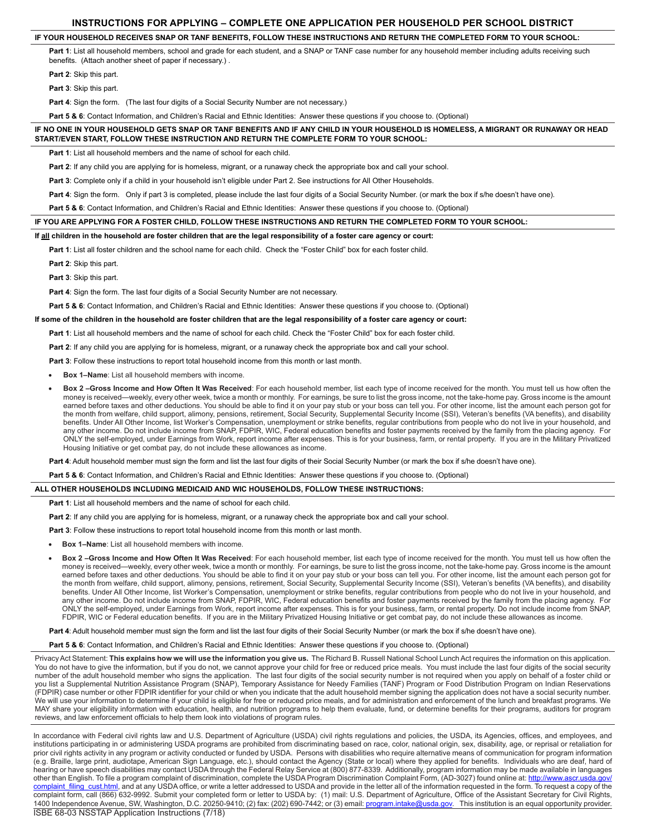# **INSTRUCTIONS FOR APPLYING – COMPLETE ONE APPLICATION PER HOUSEHOLD PER SCHOOL DISTRICT**

# **IF YOUR HOUSEHOLD RECEIVES SNAP OR TANF BENEFITS, FOLLOW THESE INSTRUCTIONS AND RETURN THE COMPLETED FORM TO YOUR SCHOOL:**

Part 1: List all household members, school and grade for each student, and a SNAP or TANF case number for any household member including adults receiving such benefits. (Attach another sheet of paper if necessary.) .

**Part 2**: Skip this part.

**Part 3**: Skip this part.

Part 4: Sign the form. (The last four digits of a Social Security Number are not necessary.)

**Part 5 & 6**: Contact Information, and Children's Racial and Ethnic Identities: Answer these questions if you choose to. (Optional)

### **IF NO ONE IN YOUR HOUSEHOLD GETS SNAP OR TANF BENEFITS AND IF ANY CHILD IN YOUR HOUSEHOLD IS HOMELESS, A MIGRANT OR RUNAWAY OR HEAD START/EVEN START, FOLLOW THESE INSTRUCTION AND RETURN THE COMPLETE FORM TO YOUR SCHOOL:**

Part 1: List all household members and the name of school for each child.

**Part 2:** If any child you are applying for is homeless, migrant, or a runaway check the appropriate box and call your school.

**Part 3**: Complete only if a child in your household isn't eligible under Part 2. See instructions for All Other Households.

Part 4: Sign the form. Only if part 3 is completed, please include the last four digits of a Social Security Number. (or mark the box if s/he doesn't have one).

**Part 5 & 6**: Contact Information, and Children's Racial and Ethnic Identities: Answer these questions if you choose to. (Optional)

### **IF YOU ARE APPLYING FOR A FOSTER CHILD, FOLLOW THESE INSTRUCTIONS AND RETURN THE COMPLETED FORM TO YOUR SCHOOL:**

# **If all children in the household are foster children that are the legal responsibility of a foster care agency or court:**

**Part 1**: List all foster children and the school name for each child. Check the "Foster Child" box for each foster child.

**Part 2**: Skip this part.

**Part 3**: Skip this part.

**Part 4**: Sign the form. The last four digits of a Social Security Number are not necessary.

**Part 5 & 6**: Contact Information, and Children's Racial and Ethnic Identities: Answer these questions if you choose to. (Optional)

#### **If some of the children in the household are foster children that are the legal responsibility of a foster care agency or court:**

**Part 1**: List all household members and the name of school for each child. Check the "Foster Child" box for each foster child.

**Part 2**: If any child you are applying for is homeless, migrant, or a runaway check the appropriate box and call your school.

Part 3: Follow these instructions to report total household income from this month or last month.

**Box 1–Name:** List all household members with income.

Box 2-Gross Income and How Often It Was Received: For each household member, list each type of income received for the month. You must tell us how often the money is received—weekly, every other week, twice a month or monthly. For earnings, be sure to list the gross income, not the take-home pay. Gross income is the amount earned before taxes and other deductions. You should be able to find it on your pay stub or your boss can tell you. For other income, list the amount each person got for the month from welfare, child support, alimony, pensions, retirement, Social Security, Supplemental Security Income (SSI), Veteran's benefits (VA benefits), and disability benefits. Under All Other Income, list Worker's Compensation, unemployment or strike benefits, regular contributions from people who do not live in your household, and any other income. Do not include income from SNAP, FDPIR, WIC, Federal education benefits and foster payments received by the family from the placing agency. For ONLY the self-employed, under Earnings from Work, report income after expenses. This is for your business, farm, or rental property. If you are in the Military Privatized Housing Initiative or get combat pay, do not include these allowances as income.

Part 4: Adult household member must sign the form and list the last four digits of their Social Security Number (or mark the box if s/he doesn't have one).

**Part 5 & 6**: Contact Information, and Children's Racial and Ethnic Identities: Answer these questions if you choose to. (Optional)

#### **ALL OTHER HOUSEHOLDS INCLUDING MEDICAID AND WIC HOUSEHOLDS, FOLLOW THESE INSTRUCTIONS:**

Part 1: List all household members and the name of school for each child.

**Part 2**: If any child you are applying for is homeless, migrant, or a runaway check the appropriate box and call your school.

**Part 3:** Follow these instructions to report total household income from this month or last month.

- **Box 1–Name:** List all household members with income.
- Box 2 -Gross Income and How Often It Was Received: For each household member, list each type of income received for the month. You must tell us how often the money is received—weekly, every other week, twice a month or monthly. For earnings, be sure to list the gross income, not the take-home pay. Gross income is the amount earned before taxes and other deductions. You should be able to find it on your pay stub or your boss can tell you. For other income, list the amount each person got for the month from welfare, child support, alimony, pensions, retirement, Social Security, Supplemental Security Income (SSI), Veteran's benefits (VA benefits), and disability benefits. Under All Other Income, list Worker's Compensation, unemployment or strike benefits, regular contributions from people who do not live in your household, and any other income. Do not include income from SNAP, FDPIR, WIC, Federal education benefits and foster payments received by the family from the placing agency. For ONLY the self-employed, under Earnings from Work, report income after expenses. This is for your business, farm, or rental property. Do not include income from SNAP, FDPIR, WIC or Federal education benefits. If you are in the Military Privatized Housing Initiative or get combat pay, do not include these allowances as income.

Part 4: Adult household member must sign the form and list the last four digits of their Social Security Number (or mark the box if s/he doesn't have one).

**Part 5 & 6**: Contact Information, and Children's Racial and Ethnic Identities: Answer these questions if you choose to. (Optional)

Privacy Act Statement: **This explains how we will use the information you give us.** The Richard B. Russell National School Lunch Act requires the information on this application. You do not have to give the information, but if you do not, we cannot approve your child for free or reduced price meals. You must include the last four digits of the social security number of the adult household member who signs the application. The last four digits of the social security number is not required when you apply on behalf of a foster child or you list a Supplemental Nutrition Assistance Program (SNAP), Temporary Assistance for Needy Families (TANF) Program or Food Distribution Program on Indian Reservations (FDPIR) case number or other FDPIR identifier for your child or when you indicate that the adult household member signing the application does not have a social security number. We will use your information to determine if your child is eligible for free or reduced price meals, and for administration and enforcement of the lunch and breakfast programs. We MAY share your eligibility information with education, health, and nutrition programs to help them evaluate, fund, or determine benefits for their programs, auditors for program reviews, and law enforcement officials to help them look into violations of program rules.

ISBE 68-03 NSSTAP Application Instructions (7/18) In accordance with Federal civil rights law and U.S. Department of Agriculture (USDA) civil rights regulations and policies, the USDA, its Agencies, offices, and employees, and institutions participating in or administering USDA programs are prohibited from discriminating based on race, color, national origin, sex, disability, age, or reprisal or retaliation for prior civil rights activity in any program or activity conducted or funded by USDA. Persons with disabilities who require alternative means of communication for program information (e.g. Braille, large print, audiotape, American Sign Language, etc.), should contact the Agency (State or local) where they applied for benefits. Individuals who are deaf, hard of hearing or have speech disabilities may contact USDA through the Federal Relay Service at (800) 877-8339. Additionally, program information may be made available in languages other than English. To file a program complaint of discrimination, complete the USDA Program Discrimination Complaint Form, (AD-3027) found online at: http://www.ascr.usda.gov/ complaint\_filing\_cust.html, and at any USDA office, or write a letter addressed to USDA and provide in the letter all of the information requested in the form. To request a copy of the complaint form, call (866) 632-9992. Submit your completed form or letter to USDA by: (1) mail: U.S. Department of Agriculture, Office of the Assistant Secretary for Civil Rights, 1400 Independence Avenue, SW, Washington, D.C. 20250-9410; (2) fax: (202) 690-7442; or (3) email: program.intake@usda.gov. This institution is an equal opportunity provider.